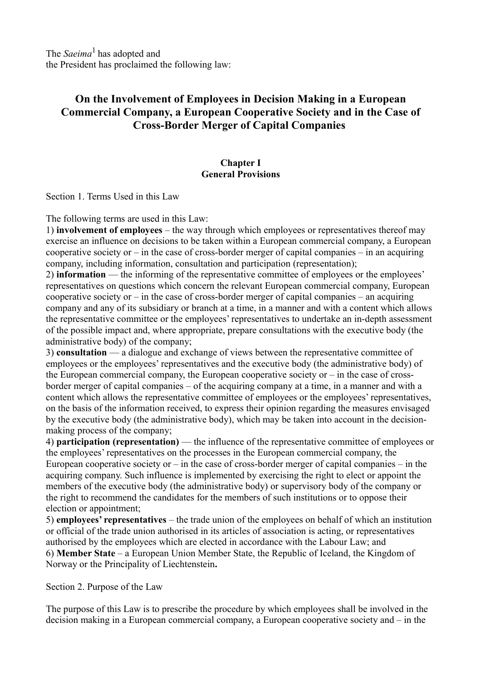The *Saeima*1 has adopted and the President has proclaimed the following law:

# **On the Involvement of Employees in Decision Making in a European Commercial Company, a European Cooperative Society and in the Case of Cross-Border Merger of Capital Companies**

#### **Chapter I General Provisions**

Section 1. Terms Used in this Law

The following terms are used in this Law:

1) **involvement of employees** – the way through which employees or representatives thereof may exercise an influence on decisions to be taken within a European commercial company, a European cooperative society or  $-$  in the case of cross-border merger of capital companies  $-$  in an acquiring company, including information, consultation and participation (representation);

2) **information** — the informing of the representative committee of employees or the employees' representatives on questions which concern the relevant European commercial company, European cooperative society or – in the case of cross-border merger of capital companies – an acquiring company and any of its subsidiary or branch at a time, in a manner and with a content which allows the representative committee or the employees' representatives to undertake an in-depth assessment of the possible impact and, where appropriate, prepare consultations with the executive body (the administrative body) of the company;

3) **consultation** — a dialogue and exchange of views between the representative committee of employees or the employees' representatives and the executive body (the administrative body) of the European commercial company, the European cooperative society or – in the case of crossborder merger of capital companies – of the acquiring company at a time, in a manner and with a content which allows the representative committee of employees or the employees' representatives, on the basis of the information received, to express their opinion regarding the measures envisaged by the executive body (the administrative body), which may be taken into account in the decisionmaking process of the company;

4) **participation (representation)** — the influence of the representative committee of employees or the employees' representatives on the processes in the European commercial company, the European cooperative society or  $-$  in the case of cross-border merger of capital companies  $-$  in the acquiring company. Such influence is implemented by exercising the right to elect or appoint the members of the executive body (the administrative body) or supervisory body of the company or the right to recommend the candidates for the members of such institutions or to oppose their election or appointment;

5) **employees' representatives** – the trade union of the employees on behalf of which an institution or official of the trade union authorised in its articles of association is acting, or representatives authorised by the employees which are elected in accordance with the Labour Law; and 6) **Member State** – a European Union Member State, the Republic of Iceland, the Kingdom of Norway or the Principality of Liechtenstein**.**

Section 2. Purpose of the Law

The purpose of this Law is to prescribe the procedure by which employees shall be involved in the decision making in a European commercial company, a European cooperative society and – in the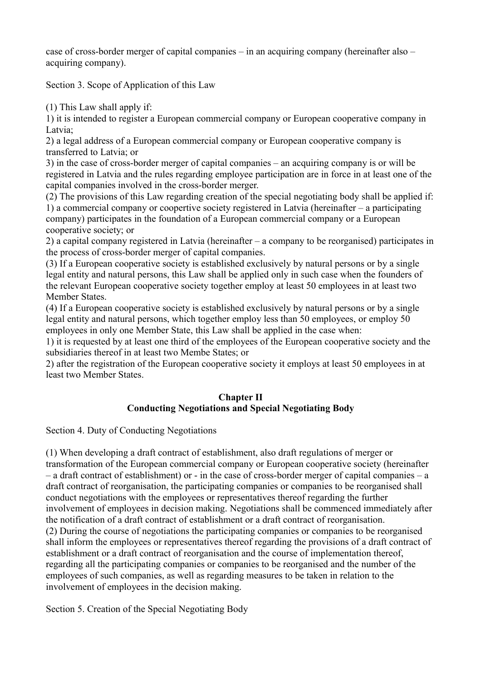case of cross-border merger of capital companies – in an acquiring company (hereinafter also – acquiring company).

Section 3. Scope of Application of this Law

(1) This Law shall apply if:

1) it is intended to register a European commercial company or European cooperative company in Latvia;

2) a legal address of a European commercial company or European cooperative company is transferred to Latvia; or

3) in the case of cross-border merger of capital companies – an acquiring company is or will be registered in Latvia and the rules regarding employee participation are in force in at least one of the capital companies involved in the cross-border merger.

(2) The provisions of this Law regarding creation of the special negotiating body shall be applied if: 1) a commercial company or coopertive society registered in Latvia (hereinafter – a participating company) participates in the foundation of a European commercial company or a European cooperative society; or

2) a capital company registered in Latvia (hereinafter – a company to be reorganised) participates in the process of cross-border merger of capital companies.

(3) If a European cooperative society is established exclusively by natural persons or by a single legal entity and natural persons, this Law shall be applied only in such case when the founders of the relevant European cooperative society together employ at least 50 employees in at least two Member States.

(4) If a European cooperative society is established exclusively by natural persons or by a single legal entity and natural persons, which together employ less than 50 employees, or employ 50 employees in only one Member State, this Law shall be applied in the case when:

1) it is requested by at least one third of the employees of the European cooperative society and the subsidiaries thereof in at least two Membe States; or

2) after the registration of the European cooperative society it employs at least 50 employees in at least two Member States.

### **Chapter II Conducting Negotiations and Special Negotiating Body**

Section 4. Duty of Conducting Negotiations

(1) When developing a draft contract of establishment, also draft regulations of merger or transformation of the European commercial company or European cooperative society (hereinafter – a draft contract of establishment) or - in the case of cross-border merger of capital companies – a draft contract of reorganisation, the participating companies or companies to be reorganised shall conduct negotiations with the employees or representatives thereof regarding the further involvement of employees in decision making. Negotiations shall be commenced immediately after the notification of a draft contract of establishment or a draft contract of reorganisation. (2) During the course of negotiations the participating companies or companies to be reorganised shall inform the employees or representatives thereof regarding the provisions of a draft contract of establishment or a draft contract of reorganisation and the course of implementation thereof, regarding all the participating companies or companies to be reorganised and the number of the employees of such companies, as well as regarding measures to be taken in relation to the involvement of employees in the decision making.

Section 5. Creation of the Special Negotiating Body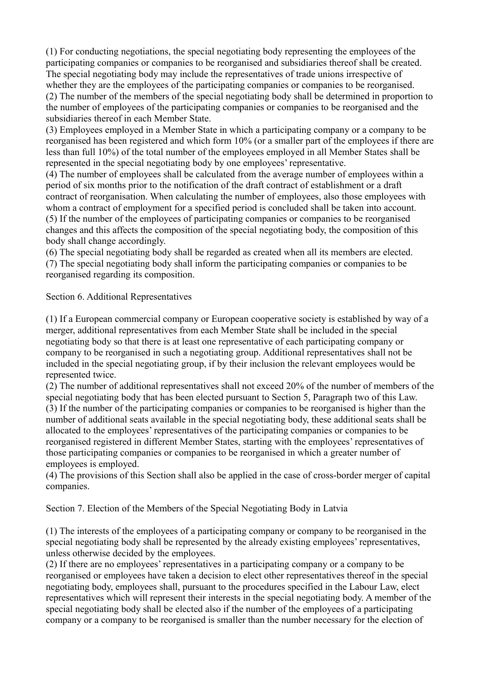(1) For conducting negotiations, the special negotiating body representing the employees of the participating companies or companies to be reorganised and subsidiaries thereof shall be created. The special negotiating body may include the representatives of trade unions irrespective of whether they are the employees of the participating companies or companies to be reorganised. (2) The number of the members of the special negotiating body shall be determined in proportion to the number of employees of the participating companies or companies to be reorganised and the subsidiaries thereof in each Member State.

(3) Employees employed in a Member State in which a participating company or a company to be reorganised has been registered and which form 10% (or a smaller part of the employees if there are less than full 10%) of the total number of the employees employed in all Member States shall be represented in the special negotiating body by one employees' representative.

(4) The number of employees shall be calculated from the average number of employees within a period of six months prior to the notification of the draft contract of establishment or a draft contract of reorganisation. When calculating the number of employees, also those employees with whom a contract of employment for a specified period is concluded shall be taken into account. (5) If the number of the employees of participating companies or companies to be reorganised changes and this affects the composition of the special negotiating body, the composition of this body shall change accordingly.

(6) The special negotiating body shall be regarded as created when all its members are elected. (7) The special negotiating body shall inform the participating companies or companies to be reorganised regarding its composition.

Section 6. Additional Representatives

(1) If a European commercial company or European cooperative society is established by way of a merger, additional representatives from each Member State shall be included in the special negotiating body so that there is at least one representative of each participating company or company to be reorganised in such a negotiating group. Additional representatives shall not be included in the special negotiating group, if by their inclusion the relevant employees would be represented twice.

(2) The number of additional representatives shall not exceed 20% of the number of members of the special negotiating body that has been elected pursuant to Section 5, Paragraph two of this Law. (3) If the number of the participating companies or companies to be reorganised is higher than the number of additional seats available in the special negotiating body, these additional seats shall be allocated to the employees' representatives of the participating companies or companies to be reorganised registered in different Member States, starting with the employees' representatives of those participating companies or companies to be reorganised in which a greater number of employees is employed.

(4) The provisions of this Section shall also be applied in the case of cross-border merger of capital companies.

Section 7. Election of the Members of the Special Negotiating Body in Latvia

(1) The interests of the employees of a participating company or company to be reorganised in the special negotiating body shall be represented by the already existing employees' representatives, unless otherwise decided by the employees.

(2) If there are no employees' representatives in a participating company or a company to be reorganised or employees have taken a decision to elect other representatives thereof in the special negotiating body, employees shall, pursuant to the procedures specified in the Labour Law, elect representatives which will represent their interests in the special negotiating body. A member of the special negotiating body shall be elected also if the number of the employees of a participating company or a company to be reorganised is smaller than the number necessary for the election of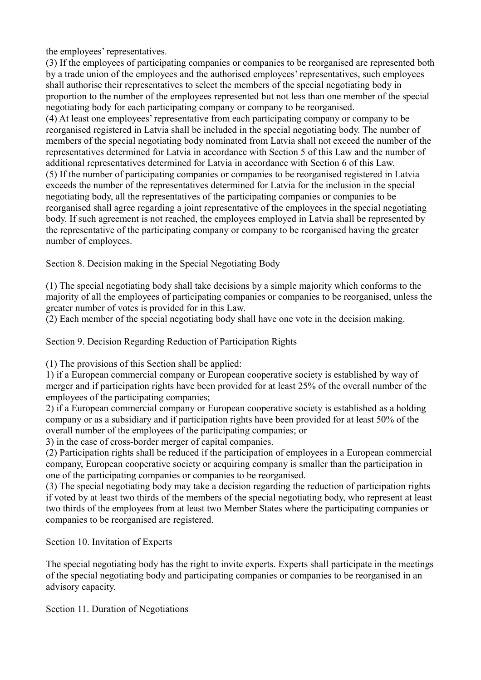the employees' representatives.

(3) If the employees of participating companies or companies to be reorganised are represented both by a trade union of the employees and the authorised employees' representatives, such employees shall authorise their representatives to select the members of the special negotiating body in proportion to the number of the employees represented but not less than one member of the special negotiating body for each participating company or company to be reorganised. (4) At least one employees' representative from each participating company or company to be reorganised registered in Latvia shall be included in the special negotiating body. The number of members of the special negotiating body nominated from Latvia shall not exceed the number of the representatives determined for Latvia in accordance with Section 5 of this Law and the number of additional representatives determined for Latvia in accordance with Section 6 of this Law. (5) If the number of participating companies or companies to be reorganised registered in Latvia exceeds the number of the representatives determined for Latvia for the inclusion in the special negotiating body, all the representatives of the participating companies or companies to be reorganised shall agree regarding a joint representative of the employees in the special negotiating body. If such agreement is not reached, the employees employed in Latvia shall be represented by the representative of the participating company or company to be reorganised having the greater number of employees.

Section 8. Decision making in the Special Negotiating Body

(1) The special negotiating body shall take decisions by a simple majority which conforms to the majority of all the employees of participating companies or companies to be reorganised, unless the greater number of votes is provided for in this Law.

(2) Each member of the special negotiating body shall have one vote in the decision making.

Section 9. Decision Regarding Reduction of Participation Rights

(1) The provisions of this Section shall be applied:

1) if a European commercial company or European cooperative society is established by way of merger and if participation rights have been provided for at least 25% of the overall number of the employees of the participating companies;

2) if a European commercial company or European cooperative society is established as a holding company or as a subsidiary and if participation rights have been provided for at least 50% of the overall number of the employees of the participating companies; or

3) in the case of cross-border merger of capital companies.

(2) Participation rights shall be reduced if the participation of employees in a European commercial company, European cooperative society or acquiring company is smaller than the participation in one of the participating companies or companies to be reorganised.

(3) The special negotiating body may take a decision regarding the reduction of participation rights if voted by at least two thirds of the members of the special negotiating body, who represent at least two thirds of the employees from at least two Member States where the participating companies or companies to be reorganised are registered.

Section 10. Invitation of Experts

The special negotiating body has the right to invite experts. Experts shall participate in the meetings of the special negotiating body and participating companies or companies to be reorganised in an advisory capacity.

Section 11. Duration of Negotiations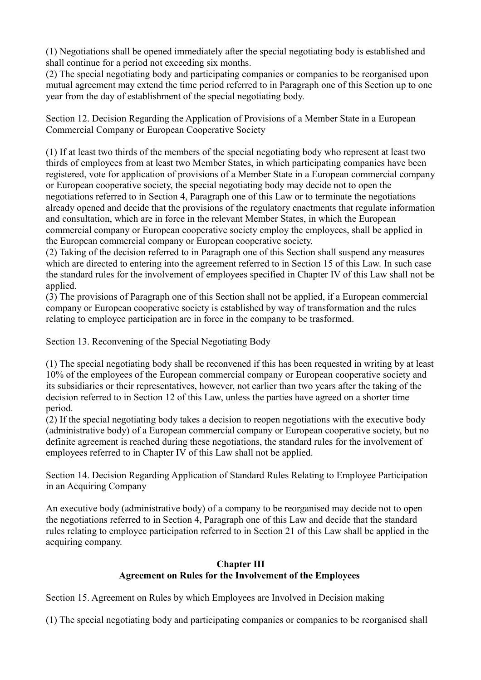(1) Negotiations shall be opened immediately after the special negotiating body is established and shall continue for a period not exceeding six months.

(2) The special negotiating body and participating companies or companies to be reorganised upon mutual agreement may extend the time period referred to in Paragraph one of this Section up to one year from the day of establishment of the special negotiating body.

Section 12. Decision Regarding the Application of Provisions of a Member State in a European Commercial Company or European Cooperative Society

(1) If at least two thirds of the members of the special negotiating body who represent at least two thirds of employees from at least two Member States, in which participating companies have been registered, vote for application of provisions of a Member State in a European commercial company or European cooperative society, the special negotiating body may decide not to open the negotiations referred to in Section 4, Paragraph one of this Law or to terminate the negotiations already opened and decide that the provisions of the regulatory enactments that regulate information and consultation, which are in force in the relevant Member States, in which the European commercial company or European cooperative society employ the employees, shall be applied in the European commercial company or European cooperative society.

(2) Taking of the decision referred to in Paragraph one of this Section shall suspend any measures which are directed to entering into the agreement referred to in Section 15 of this Law. In such case the standard rules for the involvement of employees specified in Chapter IV of this Law shall not be applied.

(3) The provisions of Paragraph one of this Section shall not be applied, if a European commercial company or European cooperative society is established by way of transformation and the rules relating to employee participation are in force in the company to be trasformed.

Section 13. Reconvening of the Special Negotiating Body

(1) The special negotiating body shall be reconvened if this has been requested in writing by at least 10% of the employees of the European commercial company or European cooperative society and its subsidiaries or their representatives, however, not earlier than two years after the taking of the decision referred to in Section 12 of this Law, unless the parties have agreed on a shorter time period.

(2) If the special negotiating body takes a decision to reopen negotiations with the executive body (administrative body) of a European commercial company or European cooperative society, but no definite agreement is reached during these negotiations, the standard rules for the involvement of employees referred to in Chapter IV of this Law shall not be applied.

Section 14. Decision Regarding Application of Standard Rules Relating to Employee Participation in an Acquiring Company

An executive body (administrative body) of a company to be reorganised may decide not to open the negotiations referred to in Section 4, Paragraph one of this Law and decide that the standard rules relating to employee participation referred to in Section 21 of this Law shall be applied in the acquiring company.

## **Chapter III Agreement on Rules for the Involvement of the Employees**

Section 15. Agreement on Rules by which Employees are Involved in Decision making

(1) The special negotiating body and participating companies or companies to be reorganised shall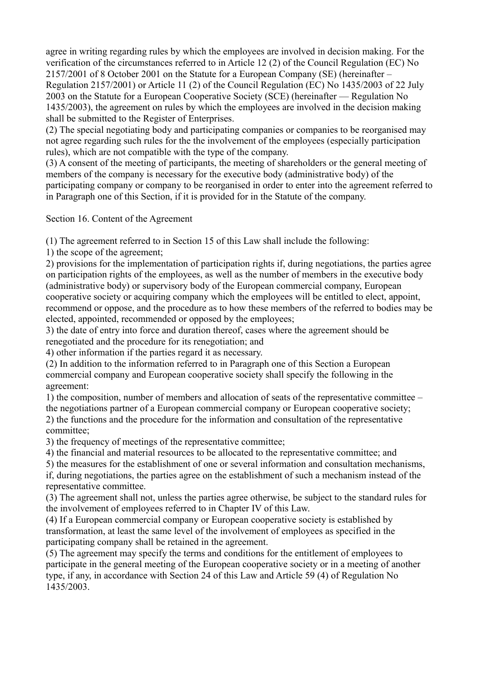agree in writing regarding rules by which the employees are involved in decision making. For the verification of the circumstances referred to in Article 12 (2) of the Council Regulation (EC) No 2157/2001 of 8 October 2001 on the Statute for a European Company (SE) (hereinafter – Regulation 2157/2001) or Article 11 (2) of the Council Regulation (EC) No 1435/2003 of 22 July 2003 on the Statute for a European Cooperative Society (SCE) (hereinafter — Regulation No 1435/2003), the agreement on rules by which the employees are involved in the decision making shall be submitted to the Register of Enterprises.

(2) The special negotiating body and participating companies or companies to be reorganised may not agree regarding such rules for the the involvement of the employees (especially participation rules), which are not compatible with the type of the company.

(3) A consent of the meeting of participants, the meeting of shareholders or the general meeting of members of the company is necessary for the executive body (administrative body) of the participating company or company to be reorganised in order to enter into the agreement referred to in Paragraph one of this Section, if it is provided for in the Statute of the company.

Section 16. Content of the Agreement

(1) The agreement referred to in Section 15 of this Law shall include the following:

1) the scope of the agreement;

2) provisions for the implementation of participation rights if, during negotiations, the parties agree on participation rights of the employees, as well as the number of members in the executive body (administrative body) or supervisory body of the European commercial company, European cooperative society or acquiring company which the employees will be entitled to elect, appoint, recommend or oppose, and the procedure as to how these members of the referred to bodies may be elected, appointed, recommended or opposed by the employees;

3) the date of entry into force and duration thereof, cases where the agreement should be renegotiated and the procedure for its renegotiation; and

4) other information if the parties regard it as necessary.

(2) In addition to the information referred to in Paragraph one of this Section a European commercial company and European cooperative society shall specify the following in the agreement:

1) the composition, number of members and allocation of seats of the representative committee – the negotiations partner of a European commercial company or European cooperative society; 2) the functions and the procedure for the information and consultation of the representative committee;

3) the frequency of meetings of the representative committee;

4) the financial and material resources to be allocated to the representative committee; and

5) the measures for the establishment of one or several information and consultation mechanisms,

if, during negotiations, the parties agree on the establishment of such a mechanism instead of the representative committee.

(3) The agreement shall not, unless the parties agree otherwise, be subject to the standard rules for the involvement of employees referred to in Chapter IV of this Law.

(4) If a European commercial company or European cooperative society is established by transformation, at least the same level of the involvement of employees as specified in the participating company shall be retained in the agreement.

(5) The agreement may specify the terms and conditions for the entitlement of employees to participate in the general meeting of the European cooperative society or in a meeting of another type, if any, in accordance with Section 24 of this Law and Article 59 (4) of Regulation No 1435/2003.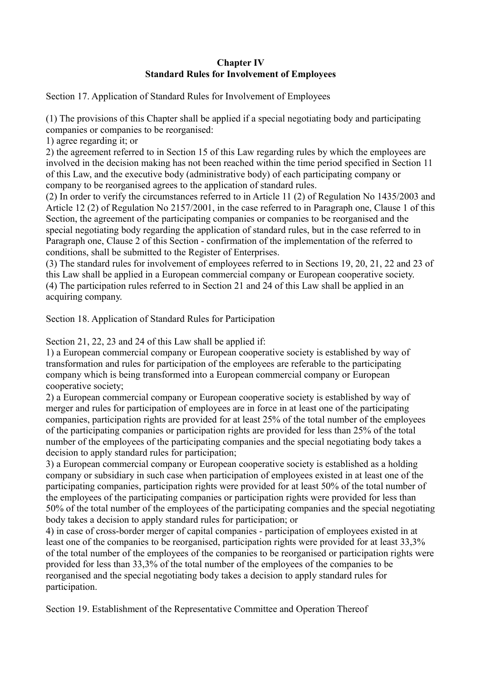## **Chapter IV Standard Rules for Involvement of Employees**

Section 17. Application of Standard Rules for Involvement of Employees

(1) The provisions of this Chapter shall be applied if a special negotiating body and participating companies or companies to be reorganised:

1) agree regarding it; or

2) the agreement referred to in Section 15 of this Law regarding rules by which the employees are involved in the decision making has not been reached within the time period specified in Section 11 of this Law, and the executive body (administrative body) of each participating company or company to be reorganised agrees to the application of standard rules.

(2) In order to verify the circumstances referred to in Article 11 (2) of Regulation No 1435/2003 and Article 12 (2) of Regulation No 2157/2001, in the case referred to in Paragraph one, Clause 1 of this Section, the agreement of the participating companies or companies to be reorganised and the special negotiating body regarding the application of standard rules, but in the case referred to in Paragraph one, Clause 2 of this Section - confirmation of the implementation of the referred to conditions, shall be submitted to the Register of Enterprises.

(3) The standard rules for involvement of employees referred to in Sections 19, 20, 21, 22 and 23 of this Law shall be applied in a European commercial company or European cooperative society. (4) The participation rules referred to in Section 21 and 24 of this Law shall be applied in an acquiring company.

Section 18. Application of Standard Rules for Participation

Section 21, 22, 23 and 24 of this Law shall be applied if:

1) a European commercial company or European cooperative society is established by way of transformation and rules for participation of the employees are referable to the participating company which is being transformed into a European commercial company or European cooperative society;

2) a European commercial company or European cooperative society is established by way of merger and rules for participation of employees are in force in at least one of the participating companies, participation rights are provided for at least 25% of the total number of the employees of the participating companies or participation rights are provided for less than 25% of the total number of the employees of the participating companies and the special negotiating body takes a decision to apply standard rules for participation;

3) a European commercial company or European cooperative society is established as a holding company or subsidiary in such case when participation of employees existed in at least one of the participating companies, participation rights were provided for at least 50% of the total number of the employees of the participating companies or participation rights were provided for less than 50% of the total number of the employees of the participating companies and the special negotiating body takes a decision to apply standard rules for participation; or

4) in case of cross-border merger of capital companies - participation of employees existed in at least one of the companies to be reorganised, participation rights were provided for at least 33,3% of the total number of the employees of the companies to be reorganised or participation rights were provided for less than 33,3% of the total number of the employees of the companies to be reorganised and the special negotiating body takes a decision to apply standard rules for participation.

Section 19. Establishment of the Representative Committee and Operation Thereof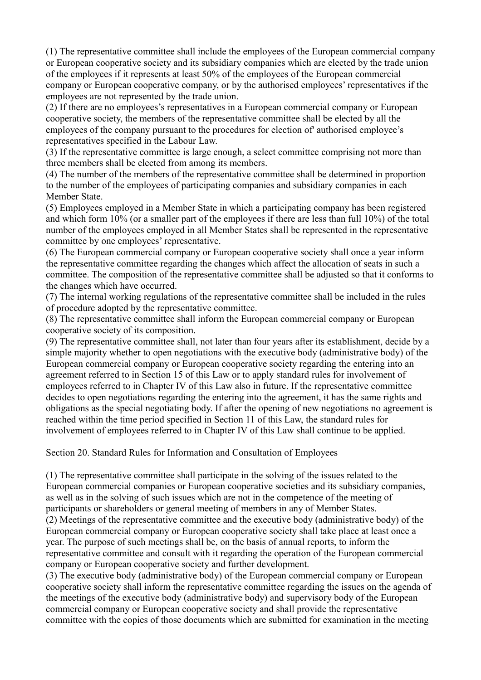(1) The representative committee shall include the employees of the European commercial company or European cooperative society and its subsidiary companies which are elected by the trade union of the employees if it represents at least 50% of the employees of the European commercial company or European cooperative company, or by the authorised employees' representatives if the employees are not represented by the trade union.

(2) If there are no employees's representatives in a European commercial company or European cooperative society, the members of the representative committee shall be elected by all the employees of the company pursuant to the procedures for election of' authorised employee's representatives specified in the Labour Law.

(3) If the representative committee is large enough, a select committee comprising not more than three members shall be elected from among its members.

(4) The number of the members of the representative committee shall be determined in proportion to the number of the employees of participating companies and subsidiary companies in each Member State.

(5) Employees employed in a Member State in which a participating company has been registered and which form 10% (or a smaller part of the employees if there are less than full 10%) of the total number of the employees employed in all Member States shall be represented in the representative committee by one employees' representative.

(6) The European commercial company or European cooperative society shall once a year inform the representative committee regarding the changes which affect the allocation of seats in such a committee. The composition of the representative committee shall be adjusted so that it conforms to the changes which have occurred.

(7) The internal working regulations of the representative committee shall be included in the rules of procedure adopted by the representative committee.

(8) The representative committee shall inform the European commercial company or European cooperative society of its composition.

(9) The representative committee shall, not later than four years after its establishment, decide by a simple majority whether to open negotiations with the executive body (administrative body) of the European commercial company or European cooperative society regarding the entering into an agreement referred to in Section 15 of this Law or to apply standard rules for involvement of employees referred to in Chapter IV of this Law also in future. If the representative committee decides to open negotiations regarding the entering into the agreement, it has the same rights and obligations as the special negotiating body. If after the opening of new negotiations no agreement is reached within the time period specified in Section 11 of this Law, the standard rules for involvement of employees referred to in Chapter IV of this Law shall continue to be applied.

Section 20. Standard Rules for Information and Consultation of Employees

(1) The representative committee shall participate in the solving of the issues related to the European commercial companies or European cooperative societies and its subsidiary companies, as well as in the solving of such issues which are not in the competence of the meeting of participants or shareholders or general meeting of members in any of Member States. (2) Meetings of the representative committee and the executive body (administrative body) of the European commercial company or European cooperative society shall take place at least once a year. The purpose of such meetings shall be, on the basis of annual reports, to inform the representative committee and consult with it regarding the operation of the European commercial company or European cooperative society and further development.

(3) The executive body (administrative body) of the European commercial company or European cooperative society shall inform the representative committee regarding the issues on the agenda of the meetings of the executive body (administrative body) and supervisory body of the European commercial company or European cooperative society and shall provide the representative committee with the copies of those documents which are submitted for examination in the meeting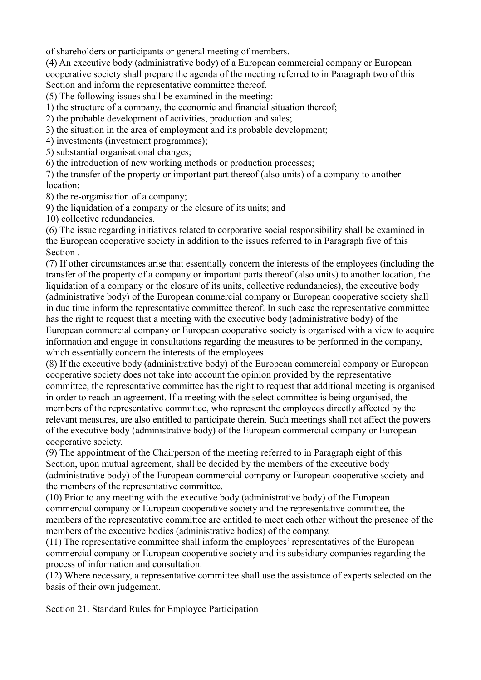of shareholders or participants or general meeting of members.

(4) An executive body (administrative body) of a European commercial company or European cooperative society shall prepare the agenda of the meeting referred to in Paragraph two of this Section and inform the representative committee thereof.

(5) The following issues shall be examined in the meeting:

1) the structure of a company, the economic and financial situation thereof;

2) the probable development of activities, production and sales;

3) the situation in the area of employment and its probable development;

4) investments (investment programmes);

5) substantial organisational changes;

6) the introduction of new working methods or production processes;

7) the transfer of the property or important part thereof (also units) of a company to another location;

8) the re-organisation of a company;

9) the liquidation of a company or the closure of its units; and

10) collective redundancies.

(6) The issue regarding initiatives related to corporative social responsibility shall be examined in the European cooperative society in addition to the issues referred to in Paragraph five of this Section .

(7) If other circumstances arise that essentially concern the interests of the employees (including the transfer of the property of a company or important parts thereof (also units) to another location, the liquidation of a company or the closure of its units, collective redundancies), the executive body (administrative body) of the European commercial company or European cooperative society shall in due time inform the representative committee thereof. In such case the representative committee has the right to request that a meeting with the executive body (administrative body) of the European commercial company or European cooperative society is organised with a view to acquire information and engage in consultations regarding the measures to be performed in the company, which essentially concern the interests of the employees.

(8) If the executive body (administrative body) of the European commercial company or European cooperative society does not take into account the opinion provided by the representative committee, the representative committee has the right to request that additional meeting is organised in order to reach an agreement. If a meeting with the select committee is being organised, the members of the representative committee, who represent the employees directly affected by the relevant measures, are also entitled to participate therein. Such meetings shall not affect the powers of the executive body (administrative body) of the European commercial company or European cooperative society.

(9) The appointment of the Chairperson of the meeting referred to in Paragraph eight of this Section, upon mutual agreement, shall be decided by the members of the executive body (administrative body) of the European commercial company or European cooperative society and the members of the representative committee.

(10) Prior to any meeting with the executive body (administrative body) of the European commercial company or European cooperative society and the representative committee, the members of the representative committee are entitled to meet each other without the presence of the members of the executive bodies (administrative bodies) of the company.

(11) The representative committee shall inform the employees' representatives of the European commercial company or European cooperative society and its subsidiary companies regarding the process of information and consultation.

(12) Where necessary, a representative committee shall use the assistance of experts selected on the basis of their own judgement.

Section 21. Standard Rules for Employee Participation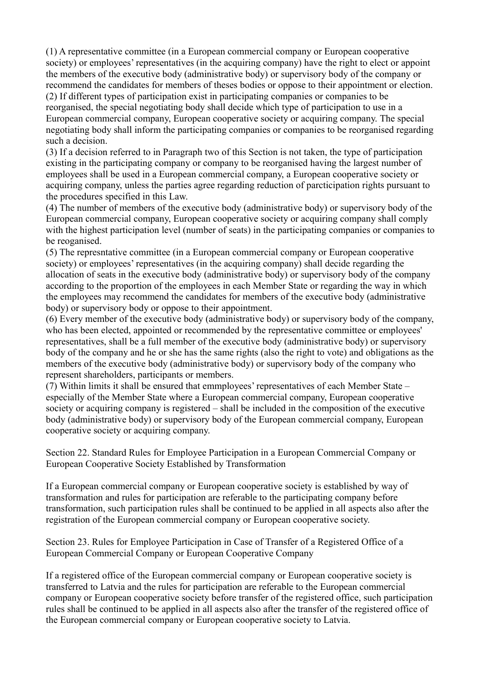(1) A representative committee (in a European commercial company or European cooperative society) or employees' representatives (in the acquiring company) have the right to elect or appoint the members of the executive body (administrative body) or supervisory body of the company or recommend the candidates for members of theses bodies or oppose to their appointment or election. (2) If different types of participation exist in participating companies or companies to be

reorganised, the special negotiating body shall decide which type of participation to use in a European commercial company, European cooperative society or acquiring company. The special negotiating body shall inform the participating companies or companies to be reorganised regarding such a decision.

(3) If a decision referred to in Paragraph two of this Section is not taken, the type of participation existing in the participating company or company to be reorganised having the largest number of employees shall be used in a European commercial company, a European cooperative society or acquiring company, unless the parties agree regarding reduction of parcticipation rights pursuant to the procedures specified in this Law.

(4) The number of members of the executive body (administrative body) or supervisory body of the European commercial company, European cooperative society or acquiring company shall comply with the highest participation level (number of seats) in the participating companies or companies to be reoganised.

(5) The represntative committee (in a European commercial company or European cooperative society) or employees' representatives (in the acquiring company) shall decide regarding the allocation of seats in the executive body (administrative body) or supervisory body of the company according to the proportion of the employees in each Member State or regarding the way in which the employees may recommend the candidates for members of the executive body (administrative body) or supervisory body or oppose to their appointment.

(6) Every member of the executive body (administrative body) or supervisory body of the company, who has been elected, appointed or recommended by the representative committee or employees' representatives, shall be a full member of the executive body (administrative body) or supervisory body of the company and he or she has the same rights (also the right to vote) and obligations as the members of the executive body (administrative body) or supervisory body of the company who represent shareholders, participants or members.

(7) Within limits it shall be ensured that emmployees' representatives of each Member State – especially of the Member State where a European commercial company, European cooperative society or acquiring company is registered – shall be included in the composition of the executive body (administrative body) or supervisory body of the European commercial company, European cooperative society or acquiring company.

Section 22. Standard Rules for Employee Participation in a European Commercial Company or European Cooperative Society Established by Transformation

If a European commercial company or European cooperative society is established by way of transformation and rules for participation are referable to the participating company before transformation, such participation rules shall be continued to be applied in all aspects also after the registration of the European commercial company or European cooperative society.

Section 23. Rules for Employee Participation in Case of Transfer of a Registered Office of a European Commercial Company or European Cooperative Company

If a registered office of the European commercial company or European cooperative society is transferred to Latvia and the rules for participation are referable to the European commercial company or European cooperative society before transfer of the registered office, such participation rules shall be continued to be applied in all aspects also after the transfer of the registered office of the European commercial company or European cooperative society to Latvia.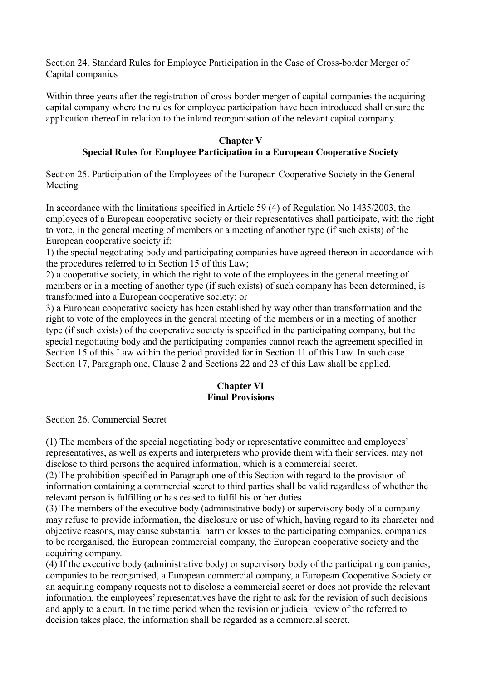Section 24. Standard Rules for Employee Participation in the Case of Cross-border Merger of Capital companies

Within three years after the registration of cross-border merger of capital companies the acquiring capital company where the rules for employee participation have been introduced shall ensure the application thereof in relation to the inland reorganisation of the relevant capital company.

#### **Chapter V Special Rules for Employee Participation in a European Cooperative Society**

Section 25. Participation of the Employees of the European Cooperative Society in the General Meeting

In accordance with the limitations specified in Article 59 (4) of Regulation No 1435/2003, the employees of a European cooperative society or their representatives shall participate, with the right to vote, in the general meeting of members or a meeting of another type (if such exists) of the European cooperative society if:

1) the special negotiating body and participating companies have agreed thereon in accordance with the procedures referred to in Section 15 of this Law;

2) a cooperative society, in which the right to vote of the employees in the general meeting of members or in a meeting of another type (if such exists) of such company has been determined, is transformed into a European cooperative society; or

3) a European cooperative society has been established by way other than transformation and the right to vote of the employees in the general meeting of the members or in a meeting of another type (if such exists) of the cooperative society is specified in the participating company, but the special negotiating body and the participating companies cannot reach the agreement specified in Section 15 of this Law within the period provided for in Section 11 of this Law. In such case Section 17, Paragraph one, Clause 2 and Sections 22 and 23 of this Law shall be applied.

#### **Chapter VI Final Provisions**

Section 26. Commercial Secret

(1) The members of the special negotiating body or representative committee and employees' representatives, as well as experts and interpreters who provide them with their services, may not disclose to third persons the acquired information, which is a commercial secret.

(2) The prohibition specified in Paragraph one of this Section with regard to the provision of information containing a commercial secret to third parties shall be valid regardless of whether the relevant person is fulfilling or has ceased to fulfil his or her duties.

(3) The members of the executive body (administrative body) or supervisory body of a company may refuse to provide information, the disclosure or use of which, having regard to its character and objective reasons, may cause substantial harm or losses to the participating companies, companies to be reorganised, the European commercial company, the European cooperative society and the acquiring company.

(4) If the executive body (administrative body) or supervisory body of the participating companies, companies to be reorganised, a European commercial company, a European Cooperative Society or an acquiring company requests not to disclose a commercial secret or does not provide the relevant information, the employees' representatives have the right to ask for the revision of such decisions and apply to a court. In the time period when the revision or judicial review of the referred to decision takes place, the information shall be regarded as a commercial secret.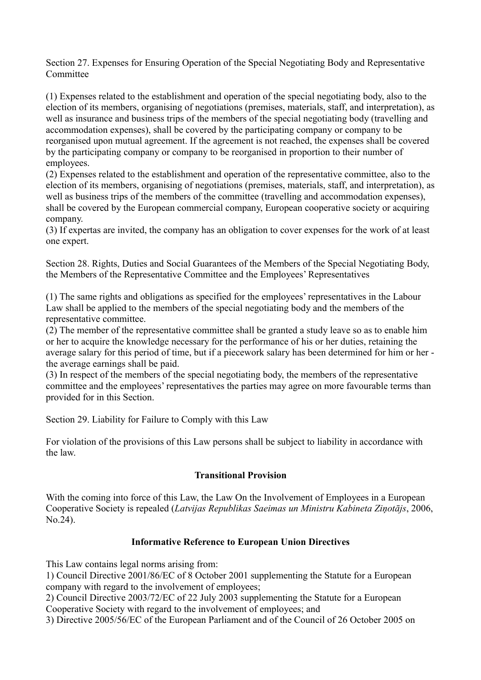Section 27. Expenses for Ensuring Operation of the Special Negotiating Body and Representative **Committee** 

(1) Expenses related to the establishment and operation of the special negotiating body, also to the election of its members, organising of negotiations (premises, materials, staff, and interpretation), as well as insurance and business trips of the members of the special negotiating body (travelling and accommodation expenses), shall be covered by the participating company or company to be reorganised upon mutual agreement. If the agreement is not reached, the expenses shall be covered by the participating company or company to be reorganised in proportion to their number of employees.

(2) Expenses related to the establishment and operation of the representative committee, also to the election of its members, organising of negotiations (premises, materials, staff, and interpretation), as well as business trips of the members of the committee (travelling and accommodation expenses), shall be covered by the European commercial company, European cooperative society or acquiring company.

(3) If expertas are invited, the company has an obligation to cover expenses for the work of at least one expert.

Section 28. Rights, Duties and Social Guarantees of the Members of the Special Negotiating Body, the Members of the Representative Committee and the Employees' Representatives

(1) The same rights and obligations as specified for the employees' representatives in the Labour Law shall be applied to the members of the special negotiating body and the members of the representative committee.

(2) The member of the representative committee shall be granted a study leave so as to enable him or her to acquire the knowledge necessary for the performance of his or her duties, retaining the average salary for this period of time, but if a piecework salary has been determined for him or her the average earnings shall be paid.

(3) In respect of the members of the special negotiating body, the members of the representative committee and the employees' representatives the parties may agree on more favourable terms than provided for in this Section.

Section 29. Liability for Failure to Comply with this Law

For violation of the provisions of this Law persons shall be subject to liability in accordance with the law.

# **Transitional Provision**

With the coming into force of this Law, the Law On the Involvement of Employees in a European Cooperative Society is repealed (*Latvijas Republikas Saeimas un Ministru Kabineta Ziņotājs*, 2006, No.24).

# **Informative Reference to European Union Directives**

This Law contains legal norms arising from:

1) Council Directive 2001/86/EC of 8 October 2001 supplementing the Statute for a European company with regard to the involvement of employees;

2) Council Directive 2003/72/EC of 22 July 2003 supplementing the Statute for a European Cooperative Society with regard to the involvement of employees; and

3) Directive 2005/56/EC of the European Parliament and of the Council of 26 October 2005 on